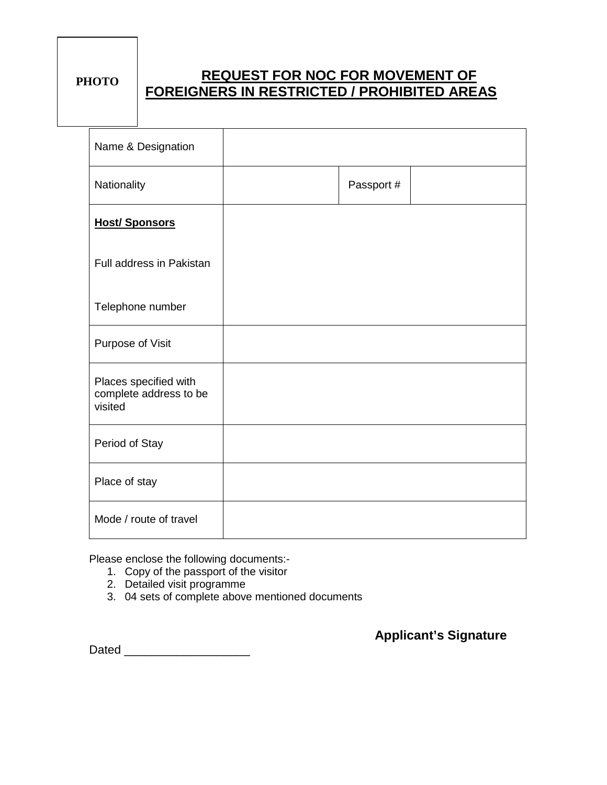## **REQUEST FOR NOC FOR MOVEMENT OF FOREIGNERS IN RESTRICTED / PROHIBITED AREAS PHOTO**

| Name & Designation                                         |            |  |
|------------------------------------------------------------|------------|--|
| Nationality                                                | Passport # |  |
| <b>Host/Sponsors</b>                                       |            |  |
| Full address in Pakistan                                   |            |  |
| Telephone number                                           |            |  |
| Purpose of Visit                                           |            |  |
| Places specified with<br>complete address to be<br>visited |            |  |
| Period of Stay                                             |            |  |
| Place of stay                                              |            |  |
| Mode / route of travel                                     |            |  |

Please enclose the following documents:-

- 1. Copy of the passport of the visitor
- 2. Detailed visit programme
- 3. 04 sets of complete above mentioned documents

 **Applicant's Signature**

Dated **Dates and Security**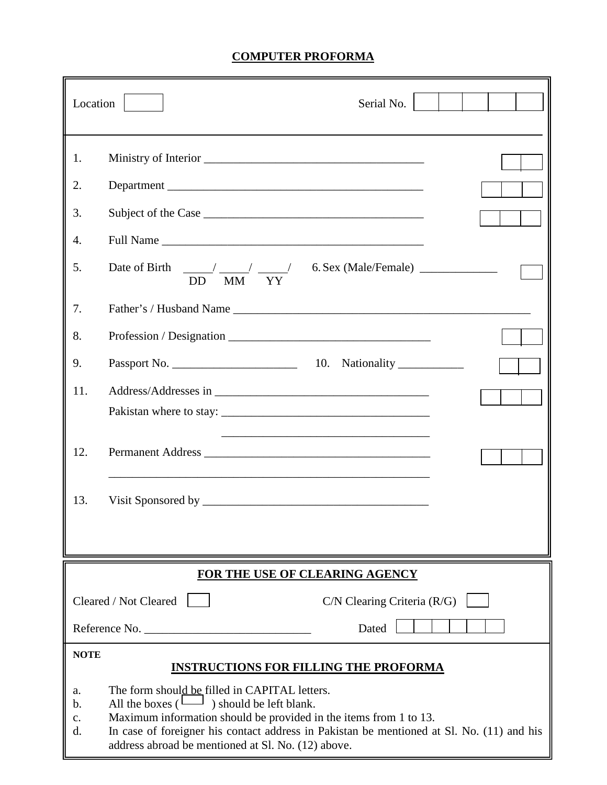## **COMPUTER PROFORMA**

| Location                                                                                                                                                                                                                                                                                                                                      | Serial No.                                                                    |  |  |  |
|-----------------------------------------------------------------------------------------------------------------------------------------------------------------------------------------------------------------------------------------------------------------------------------------------------------------------------------------------|-------------------------------------------------------------------------------|--|--|--|
| 1.                                                                                                                                                                                                                                                                                                                                            |                                                                               |  |  |  |
| 2.                                                                                                                                                                                                                                                                                                                                            |                                                                               |  |  |  |
| 3.                                                                                                                                                                                                                                                                                                                                            |                                                                               |  |  |  |
| 4.                                                                                                                                                                                                                                                                                                                                            | Full Name                                                                     |  |  |  |
| 5.                                                                                                                                                                                                                                                                                                                                            | Date of Birth $\frac{1}{100}$ $\frac{1}{100}$ $\frac{1}{100}$ $\frac{1}{100}$ |  |  |  |
| 7.                                                                                                                                                                                                                                                                                                                                            |                                                                               |  |  |  |
| 8.                                                                                                                                                                                                                                                                                                                                            |                                                                               |  |  |  |
| 9.                                                                                                                                                                                                                                                                                                                                            |                                                                               |  |  |  |
| 11.                                                                                                                                                                                                                                                                                                                                           |                                                                               |  |  |  |
|                                                                                                                                                                                                                                                                                                                                               |                                                                               |  |  |  |
| 12.                                                                                                                                                                                                                                                                                                                                           |                                                                               |  |  |  |
| 13.                                                                                                                                                                                                                                                                                                                                           |                                                                               |  |  |  |
|                                                                                                                                                                                                                                                                                                                                               |                                                                               |  |  |  |
| FOR THE USE OF CLEARING AGENCY                                                                                                                                                                                                                                                                                                                |                                                                               |  |  |  |
| Cleared / Not Cleared<br>$C/N$ Clearing Criteria $(R/G)$                                                                                                                                                                                                                                                                                      |                                                                               |  |  |  |
|                                                                                                                                                                                                                                                                                                                                               | Reference No.<br>Dated                                                        |  |  |  |
| <b>NOTE</b><br><b>INSTRUCTIONS FOR FILLING THE PROFORMA</b>                                                                                                                                                                                                                                                                                   |                                                                               |  |  |  |
| The form should be filled in CAPITAL letters.<br>a.<br>All the boxes $(\Box)$ should be left blank.<br>b.<br>Maximum information should be provided in the items from 1 to 13.<br>c.<br>In case of foreigner his contact address in Pakistan be mentioned at Sl. No. (11) and his<br>d.<br>address abroad be mentioned at Sl. No. (12) above. |                                                                               |  |  |  |